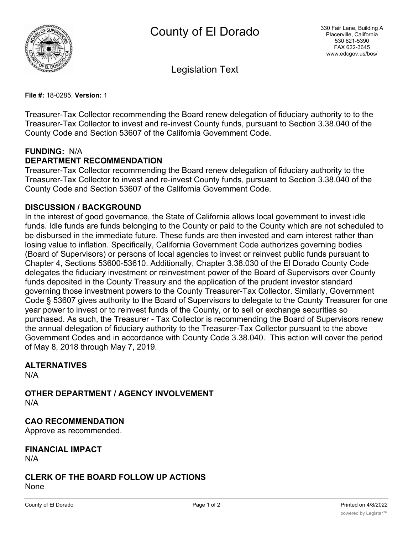

Legislation Text

**File #:** 18-0285, **Version:** 1

Treasurer-Tax Collector recommending the Board renew delegation of fiduciary authority to to the Treasurer-Tax Collector to invest and re-invest County funds, pursuant to Section 3.38.040 of the County Code and Section 53607 of the California Government Code.

### **FUNDING:** N/A

### **DEPARTMENT RECOMMENDATION**

Treasurer-Tax Collector recommending the Board renew delegation of fiduciary authority to the Treasurer-Tax Collector to invest and re-invest County funds, pursuant to Section 3.38.040 of the County Code and Section 53607 of the California Government Code.

### **DISCUSSION / BACKGROUND**

In the interest of good governance, the State of California allows local government to invest idle funds. Idle funds are funds belonging to the County or paid to the County which are not scheduled to be disbursed in the immediate future. These funds are then invested and earn interest rather than losing value to inflation. Specifically, California Government Code authorizes governing bodies (Board of Supervisors) or persons of local agencies to invest or reinvest public funds pursuant to Chapter 4, Sections 53600-53610. Additionally, Chapter 3.38.030 of the El Dorado County Code delegates the fiduciary investment or reinvestment power of the Board of Supervisors over County funds deposited in the County Treasury and the application of the prudent investor standard governing those investment powers to the County Treasurer-Tax Collector. Similarly, Government Code § 53607 gives authority to the Board of Supervisors to delegate to the County Treasurer for one year power to invest or to reinvest funds of the County, or to sell or exchange securities so purchased. As such, the Treasurer - Tax Collector is recommending the Board of Supervisors renew the annual delegation of fiduciary authority to the Treasurer-Tax Collector pursuant to the above Government Codes and in accordance with County Code 3.38.040. This action will cover the period of May 8, 2018 through May 7, 2019.

### **ALTERNATIVES**

N/A

**OTHER DEPARTMENT / AGENCY INVOLVEMENT** N/A

**CAO RECOMMENDATION**

Approve as recommended.

## **FINANCIAL IMPACT**

N/A

### **CLERK OF THE BOARD FOLLOW UP ACTIONS** None